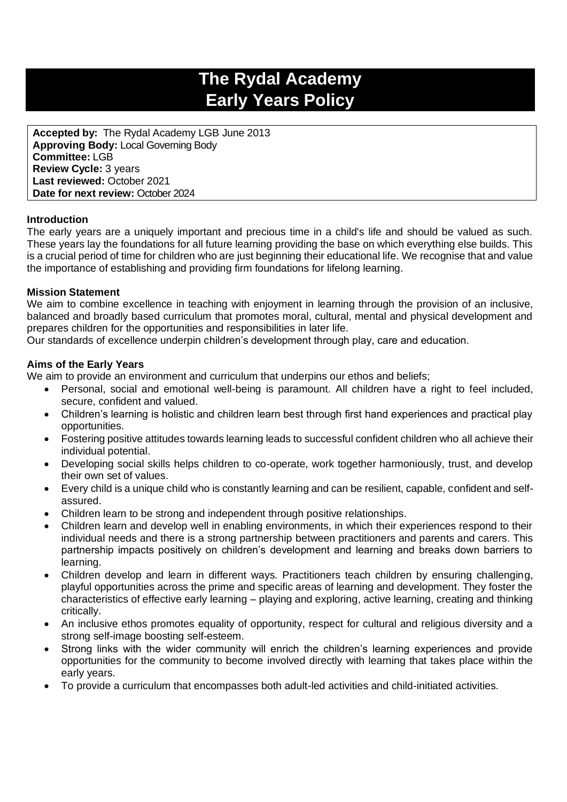# **The Rydal Academy Early Years Policy**

**Accepted by:** The Rydal Academy LGB June 2013 **Approving Body:** Local Governing Body **Committee:** LGB **Review Cycle:** 3 years **Last reviewed:** October 2021 **Date for next review:** October 2024

# **Introduction**

The early years are a uniquely important and precious time in a child's life and should be valued as such. These years lay the foundations for all future learning providing the base on which everything else builds. This is a crucial period of time for children who are just beginning their educational life. We recognise that and value the importance of establishing and providing firm foundations for lifelong learning.

# **Mission Statement**

We aim to combine excellence in teaching with enjoyment in learning through the provision of an inclusive, balanced and broadly based curriculum that promotes moral, cultural, mental and physical development and prepares children for the opportunities and responsibilities in later life.

Our standards of excellence underpin children's development through play, care and education.

# **Aims of the Early Years**

We aim to provide an environment and curriculum that underpins our ethos and beliefs;

- Personal, social and emotional well-being is paramount. All children have a right to feel included, secure, confident and valued.
- Children's learning is holistic and children learn best through first hand experiences and practical play opportunities.
- Fostering positive attitudes towards learning leads to successful confident children who all achieve their individual potential.
- Developing social skills helps children to co-operate, work together harmoniously, trust, and develop their own set of values.
- Every child is a unique child who is constantly learning and can be resilient, capable, confident and selfassured.
- Children learn to be strong and independent through positive relationships.
- Children learn and develop well in enabling environments, in which their experiences respond to their individual needs and there is a strong partnership between practitioners and parents and carers. This partnership impacts positively on children's development and learning and breaks down barriers to learning.
- Children develop and learn in different ways. Practitioners teach children by ensuring challenging, playful opportunities across the prime and specific areas of learning and development. They foster the characteristics of effective early learning – playing and exploring, active learning, creating and thinking critically.
- An inclusive ethos promotes equality of opportunity, respect for cultural and religious diversity and a strong self-image boosting self-esteem.
- Strong links with the wider community will enrich the children's learning experiences and provide opportunities for the community to become involved directly with learning that takes place within the early years.
- To provide a curriculum that encompasses both adult-led activities and child-initiated activities.